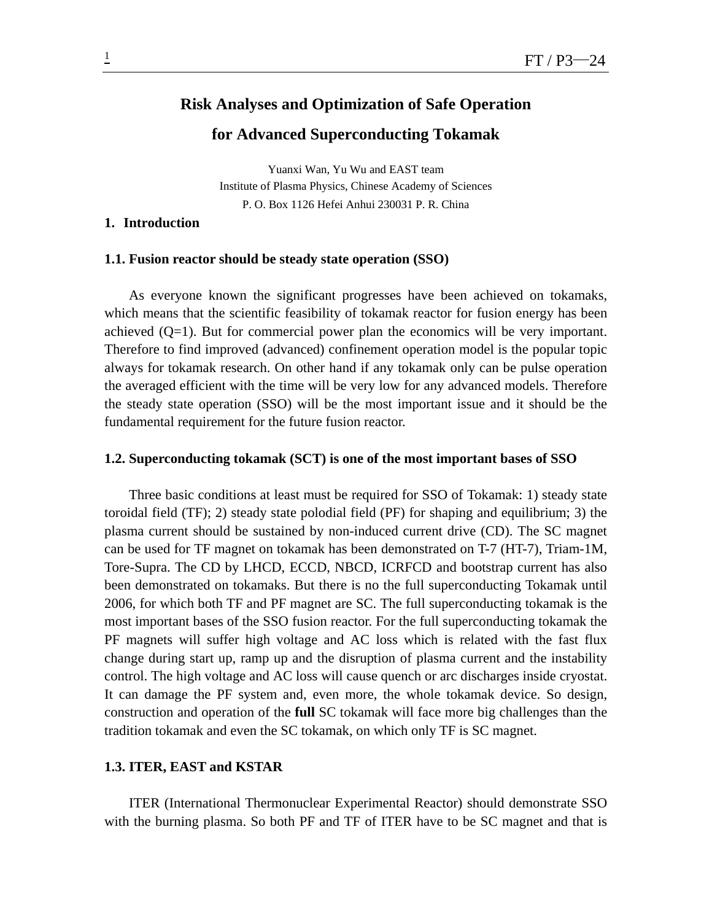# **Risk Analyses and Optimization of Safe Operation**

# **for Advanced Superconducting Tokamak**

Yuanxi Wan, Yu Wu and EAST team Institute of Plasma Physics, Chinese Academy of Sciences P. O. Box 1126 Hefei Anhui 230031 P. R. China

### **1. Introduction**

# **1.1. Fusion reactor should be steady state operation (SSO)**

As everyone known the significant progresses have been achieved on tokamaks, which means that the scientific feasibility of tokamak reactor for fusion energy has been achieved  $(Q=1)$ . But for commercial power plan the economics will be very important. Therefore to find improved (advanced) confinement operation model is the popular topic always for tokamak research. On other hand if any tokamak only can be pulse operation the averaged efficient with the time will be very low for any advanced models. Therefore the steady state operation (SSO) will be the most important issue and it should be the fundamental requirement for the future fusion reactor.

# **1.2. Superconducting tokamak (SCT) is one of the most important bases of SSO**

Three basic conditions at least must be required for SSO of Tokamak: 1) steady state toroidal field (TF); 2) steady state polodial field (PF) for shaping and equilibrium; 3) the plasma current should be sustained by non-induced current drive (CD). The SC magnet can be used for TF magnet on tokamak has been demonstrated on T-7 (HT-7), Triam-1M, Tore-Supra. The CD by LHCD, ECCD, NBCD, ICRFCD and bootstrap current has also been demonstrated on tokamaks. But there is no the full superconducting Tokamak until 2006, for which both TF and PF magnet are SC. The full superconducting tokamak is the most important bases of the SSO fusion reactor. For the full superconducting tokamak the PF magnets will suffer high voltage and AC loss which is related with the fast flux change during start up, ramp up and the disruption of plasma current and the instability control. The high voltage and AC loss will cause quench or arc discharges inside cryostat. It can damage the PF system and, even more, the whole tokamak device. So design, construction and operation of the **full** SC tokamak will face more big challenges than the tradition tokamak and even the SC tokamak, on which only TF is SC magnet.

# **1.3. ITER, EAST and KSTAR**

ITER (International Thermonuclear Experimental Reactor) should demonstrate SSO with the burning plasma. So both PF and TF of ITER have to be SC magnet and that is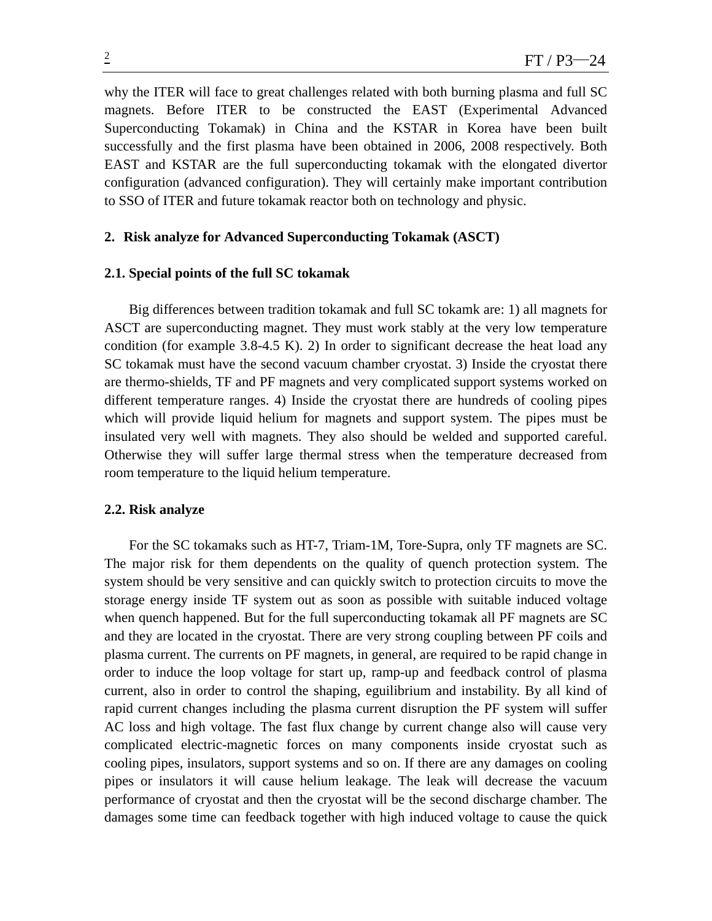why the ITER will face to great challenges related with both burning plasma and full SC magnets. Before ITER to be constructed the EAST (Experimental Advanced Superconducting Tokamak) in China and the KSTAR in Korea have been built successfully and the first plasma have been obtained in 2006, 2008 respectively. Both EAST and KSTAR are the full superconducting tokamak with the elongated divertor configuration (advanced configuration). They will certainly make important contribution to SSO of ITER and future tokamak reactor both on technology and physic.

# **2. Risk analyze for Advanced Superconducting Tokamak (ASCT)**

### **2.1. Special points of the full SC tokamak**

Big differences between tradition tokamak and full SC tokamk are: 1) all magnets for ASCT are superconducting magnet. They must work stably at the very low temperature condition (for example  $3.8-4.5$  K). 2) In order to significant decrease the heat load any SC tokamak must have the second vacuum chamber cryostat. 3) Inside the cryostat there are thermo-shields, TF and PF magnets and very complicated support systems worked on different temperature ranges. 4) Inside the cryostat there are hundreds of cooling pipes which will provide liquid helium for magnets and support system. The pipes must be insulated very well with magnets. They also should be welded and supported careful. Otherwise they will suffer large thermal stress when the temperature decreased from room temperature to the liquid helium temperature.

#### **2.2. Risk analyze**

For the SC tokamaks such as HT-7, Triam-1M, Tore-Supra, only TF magnets are SC. The major risk for them dependents on the quality of quench protection system. The system should be very sensitive and can quickly switch to protection circuits to move the storage energy inside TF system out as soon as possible with suitable induced voltage when quench happened. But for the full superconducting tokamak all PF magnets are SC and they are located in the cryostat. There are very strong coupling between PF coils and plasma current. The currents on PF magnets, in general, are required to be rapid change in order to induce the loop voltage for start up, ramp-up and feedback control of plasma current, also in order to control the shaping, eguilibrium and instability. By all kind of rapid current changes including the plasma current disruption the PF system will suffer AC loss and high voltage. The fast flux change by current change also will cause very complicated electric-magnetic forces on many components inside cryostat such as cooling pipes, insulators, support systems and so on. If there are any damages on cooling pipes or insulators it will cause helium leakage. The leak will decrease the vacuum performance of cryostat and then the cryostat will be the second discharge chamber. The damages some time can feedback together with high induced voltage to cause the quick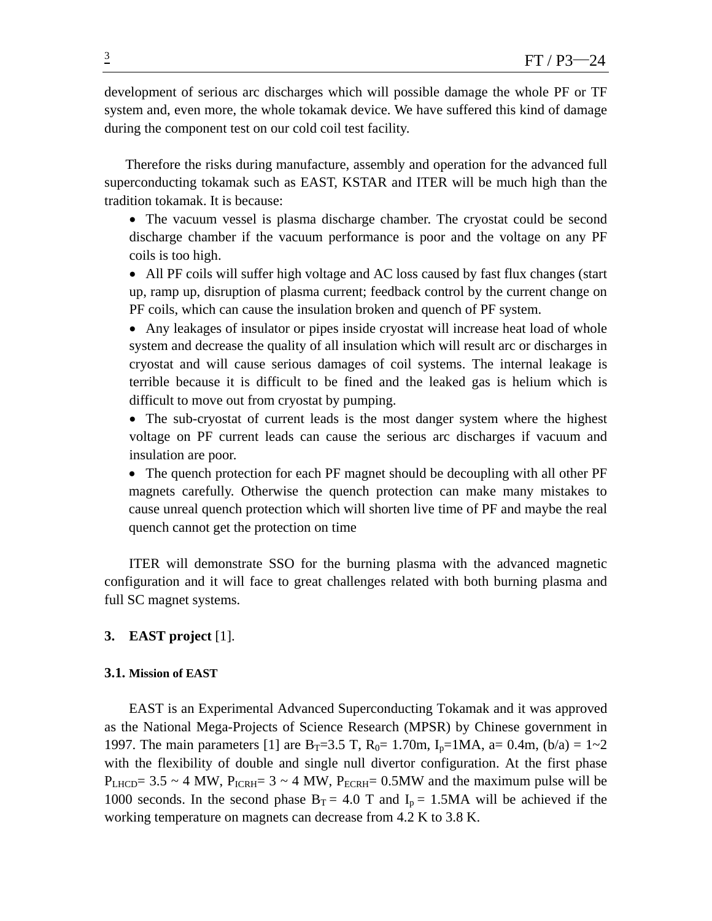development of serious arc discharges which will possible damage the whole PF or TF system and, even more, the whole tokamak device. We have suffered this kind of damage during the component test on our cold coil test facility.

Therefore the risks during manufacture, assembly and operation for the advanced full superconducting tokamak such as EAST, KSTAR and ITER will be much high than the tradition tokamak. It is because:

• The vacuum vessel is plasma discharge chamber. The cryostat could be second discharge chamber if the vacuum performance is poor and the voltage on any PF coils is too high.

• All PF coils will suffer high voltage and AC loss caused by fast flux changes (start up, ramp up, disruption of plasma current; feedback control by the current change on PF coils, which can cause the insulation broken and quench of PF system.

• Any leakages of insulator or pipes inside cryostat will increase heat load of whole system and decrease the quality of all insulation which will result arc or discharges in cryostat and will cause serious damages of coil systems. The internal leakage is terrible because it is difficult to be fined and the leaked gas is helium which is difficult to move out from cryostat by pumping.

• The sub-cryostat of current leads is the most danger system where the highest voltage on PF current leads can cause the serious arc discharges if vacuum and insulation are poor.

• The quench protection for each PF magnet should be decoupling with all other PF magnets carefully. Otherwise the quench protection can make many mistakes to cause unreal quench protection which will shorten live time of PF and maybe the real quench cannot get the protection on time

ITER will demonstrate SSO for the burning plasma with the advanced magnetic configuration and it will face to great challenges related with both burning plasma and full SC magnet systems.

# **3. EAST project** [1].

# **3.1. Mission of EAST**

EAST is an Experimental Advanced Superconducting Tokamak and it was approved as the National Mega-Projects of Science Research (MPSR) by Chinese government in 1997. The main parameters [1] are B<sub>T</sub>=3.5 T, R<sub>0</sub>= 1.70m, I<sub>p</sub>=1MA, a= 0.4m, (b/a) = 1~2 with the flexibility of double and single null divertor configuration. At the first phase  $P_{LHCD}$ = 3.5 ~ 4 MW,  $P_{ICRH}$ = 3 ~ 4 MW,  $P_{ECRH}$ = 0.5MW and the maximum pulse will be 1000 seconds. In the second phase  $B_T = 4.0$  T and  $I_p = 1.5MA$  will be achieved if the working temperature on magnets can decrease from 4.2 K to 3.8 K.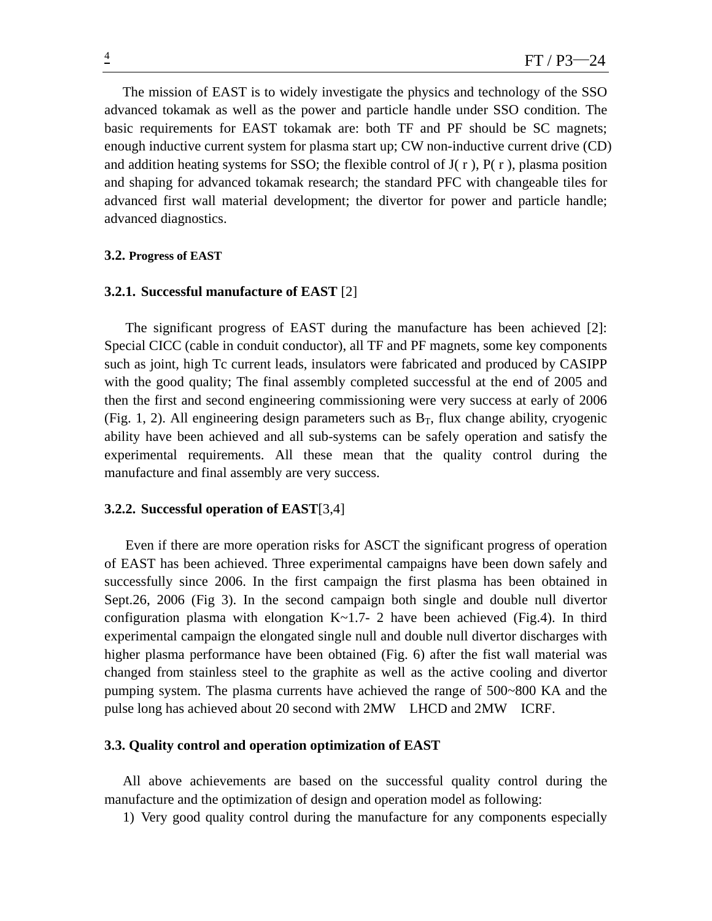The mission of EAST is to widely investigate the physics and technology of the SSO advanced tokamak as well as the power and particle handle under SSO condition. The basic requirements for EAST tokamak are: both TF and PF should be SC magnets; enough inductive current system for plasma start up; CW non-inductive current drive (CD) and addition heating systems for SSO; the flexible control of  $J(r)$ ,  $P(r)$ , plasma position and shaping for advanced tokamak research; the standard PFC with changeable tiles for advanced first wall material development; the divertor for power and particle handle; advanced diagnostics.

### **3.2. Progress of EAST**

#### **3.2.1. Successful manufacture of EAST** [2]

The significant progress of EAST during the manufacture has been achieved [2]: Special CICC (cable in conduit conductor), all TF and PF magnets, some key components such as joint, high Tc current leads, insulators were fabricated and produced by CASIPP with the good quality; The final assembly completed successful at the end of 2005 and then the first and second engineering commissioning were very success at early of 2006 (Fig. 1, 2). All engineering design parameters such as  $B_T$ , flux change ability, cryogenic ability have been achieved and all sub-systems can be safely operation and satisfy the experimental requirements. All these mean that the quality control during the manufacture and final assembly are very success.

### **3.2.2. Successful operation of EAST**[3,4]

 Even if there are more operation risks for ASCT the significant progress of operation of EAST has been achieved. Three experimental campaigns have been down safely and successfully since 2006. In the first campaign the first plasma has been obtained in Sept.26, 2006 (Fig 3). In the second campaign both single and double null divertor configuration plasma with elongation  $K \sim 1.7-2$  have been achieved (Fig.4). In third experimental campaign the elongated single null and double null divertor discharges with higher plasma performance have been obtained (Fig. 6) after the fist wall material was changed from stainless steel to the graphite as well as the active cooling and divertor pumping system. The plasma currents have achieved the range of 500~800 KA and the pulse long has achieved about 20 second with 2MW LHCD and 2MW ICRF.

# **3.3. Quality control and operation optimization of EAST**

All above achievements are based on the successful quality control during the manufacture and the optimization of design and operation model as following:

1) Very good quality control during the manufacture for any components especially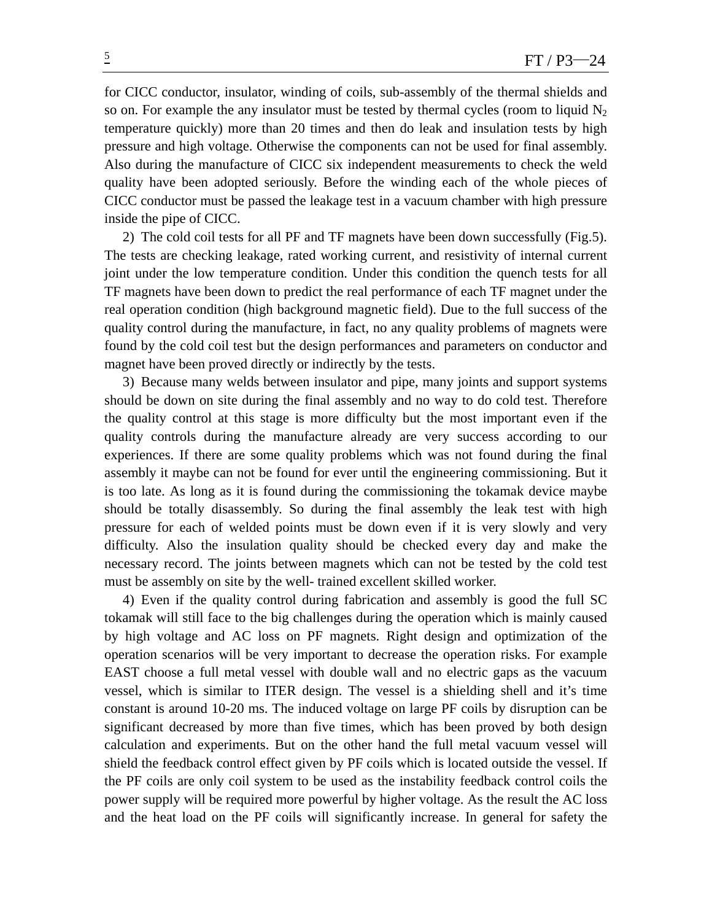for CICC conductor, insulator, winding of coils, sub-assembly of the thermal shields and so on. For example the any insulator must be tested by thermal cycles (room to liquid  $N_2$ ) temperature quickly) more than 20 times and then do leak and insulation tests by high pressure and high voltage. Otherwise the components can not be used for final assembly. Also during the manufacture of CICC six independent measurements to check the weld quality have been adopted seriously. Before the winding each of the whole pieces of CICC conductor must be passed the leakage test in a vacuum chamber with high pressure inside the pipe of CICC.

2) The cold coil tests for all PF and TF magnets have been down successfully (Fig.5). The tests are checking leakage, rated working current, and resistivity of internal current joint under the low temperature condition. Under this condition the quench tests for all TF magnets have been down to predict the real performance of each TF magnet under the real operation condition (high background magnetic field). Due to the full success of the quality control during the manufacture, in fact, no any quality problems of magnets were found by the cold coil test but the design performances and parameters on conductor and magnet have been proved directly or indirectly by the tests.

3) Because many welds between insulator and pipe, many joints and support systems should be down on site during the final assembly and no way to do cold test. Therefore the quality control at this stage is more difficulty but the most important even if the quality controls during the manufacture already are very success according to our experiences. If there are some quality problems which was not found during the final assembly it maybe can not be found for ever until the engineering commissioning. But it is too late. As long as it is found during the commissioning the tokamak device maybe should be totally disassembly. So during the final assembly the leak test with high pressure for each of welded points must be down even if it is very slowly and very difficulty. Also the insulation quality should be checked every day and make the necessary record. The joints between magnets which can not be tested by the cold test must be assembly on site by the well- trained excellent skilled worker.

4) Even if the quality control during fabrication and assembly is good the full SC tokamak will still face to the big challenges during the operation which is mainly caused by high voltage and AC loss on PF magnets. Right design and optimization of the operation scenarios will be very important to decrease the operation risks. For example EAST choose a full metal vessel with double wall and no electric gaps as the vacuum vessel, which is similar to ITER design. The vessel is a shielding shell and it's time constant is around 10-20 ms. The induced voltage on large PF coils by disruption can be significant decreased by more than five times, which has been proved by both design calculation and experiments. But on the other hand the full metal vacuum vessel will shield the feedback control effect given by PF coils which is located outside the vessel. If the PF coils are only coil system to be used as the instability feedback control coils the power supply will be required more powerful by higher voltage. As the result the AC loss and the heat load on the PF coils will significantly increase. In general for safety the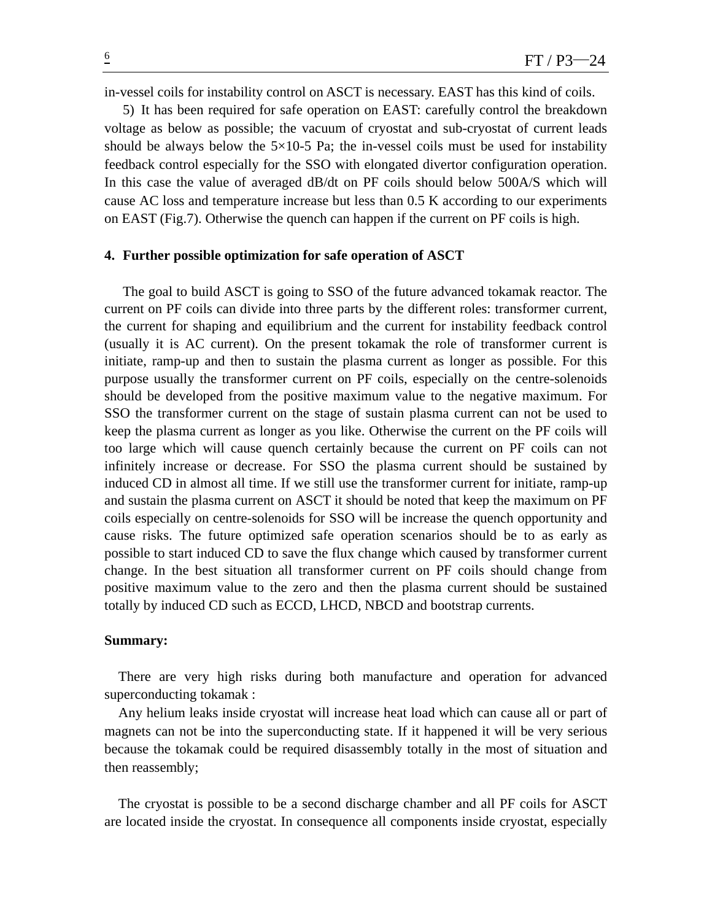in-vessel coils for instability control on ASCT is necessary. EAST has this kind of coils.

5) It has been required for safe operation on EAST: carefully control the breakdown voltage as below as possible; the vacuum of cryostat and sub-cryostat of current leads should be always below the  $5\times10-5$  Pa; the in-vessel coils must be used for instability feedback control especially for the SSO with elongated divertor configuration operation. In this case the value of averaged dB/dt on PF coils should below 500A/S which will cause AC loss and temperature increase but less than 0.5 K according to our experiments on EAST (Fig.7). Otherwise the quench can happen if the current on PF coils is high.

### **4. Further possible optimization for safe operation of ASCT**

The goal to build ASCT is going to SSO of the future advanced tokamak reactor. The current on PF coils can divide into three parts by the different roles: transformer current, the current for shaping and equilibrium and the current for instability feedback control (usually it is AC current). On the present tokamak the role of transformer current is initiate, ramp-up and then to sustain the plasma current as longer as possible. For this purpose usually the transformer current on PF coils, especially on the centre-solenoids should be developed from the positive maximum value to the negative maximum. For SSO the transformer current on the stage of sustain plasma current can not be used to keep the plasma current as longer as you like. Otherwise the current on the PF coils will too large which will cause quench certainly because the current on PF coils can not infinitely increase or decrease. For SSO the plasma current should be sustained by induced CD in almost all time. If we still use the transformer current for initiate, ramp-up and sustain the plasma current on ASCT it should be noted that keep the maximum on PF coils especially on centre-solenoids for SSO will be increase the quench opportunity and cause risks. The future optimized safe operation scenarios should be to as early as possible to start induced CD to save the flux change which caused by transformer current change. In the best situation all transformer current on PF coils should change from positive maximum value to the zero and then the plasma current should be sustained totally by induced CD such as ECCD, LHCD, NBCD and bootstrap currents.

#### **Summary:**

There are very high risks during both manufacture and operation for advanced superconducting tokamak :

Any helium leaks inside cryostat will increase heat load which can cause all or part of magnets can not be into the superconducting state. If it happened it will be very serious because the tokamak could be required disassembly totally in the most of situation and then reassembly;

 The cryostat is possible to be a second discharge chamber and all PF coils for ASCT are located inside the cryostat. In consequence all components inside cryostat, especially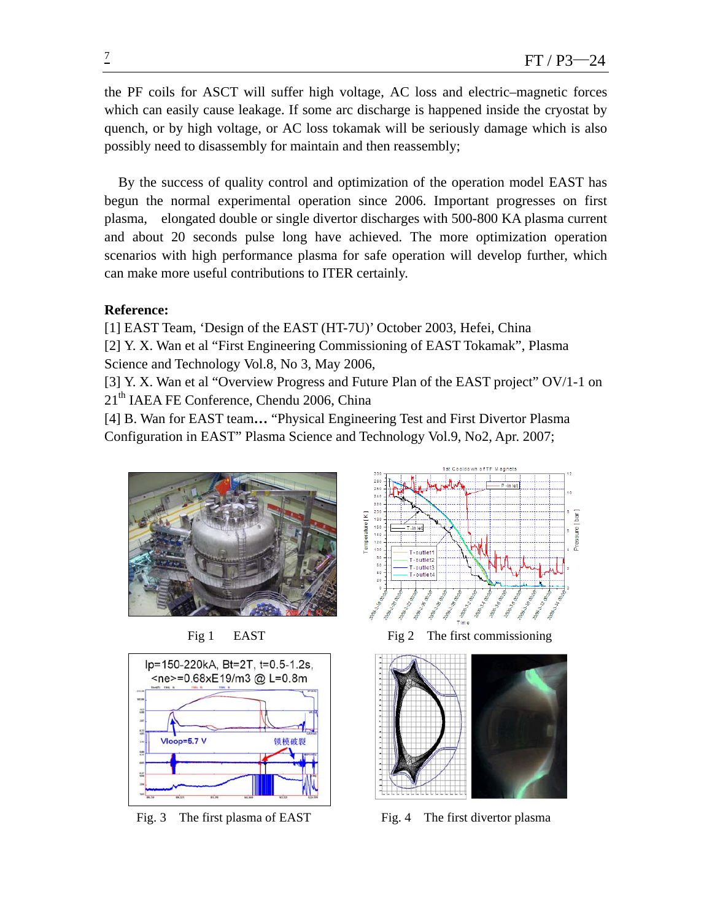the PF coils for ASCT will suffer high voltage, AC loss and electric–magnetic forces which can easily cause leakage. If some arc discharge is happened inside the cryostat by quench, or by high voltage, or AC loss tokamak will be seriously damage which is also possibly need to disassembly for maintain and then reassembly;

By the success of quality control and optimization of the operation model EAST has begun the normal experimental operation since 2006. Important progresses on first plasma, elongated double or single divertor discharges with 500-800 KA plasma current and about 20 seconds pulse long have achieved. The more optimization operation scenarios with high performance plasma for safe operation will develop further, which can make more useful contributions to ITER certainly.

# **Reference:**

[1] EAST Team, 'Design of the EAST (HT-7U)' October 2003, Hefei, China [2] Y. X. Wan et al "First Engineering Commissioning of EAST Tokamak", Plasma Science and Technology Vol.8, No 3, May 2006,

[3] Y. X. Wan et al "Overview Progress and Future Plan of the EAST project" OV/1-1 on 21<sup>th</sup> IAEA FE Conference, Chendu 2006, China

[4] B. Wan for EAST team**…** "Physical Engineering Test and First Divertor Plasma Configuration in EAST" Plasma Science and Technology Vol.9, No2, Apr. 2007;







Fig 1 EAST Fig 2 The first commissioning



Fig. 3 The first plasma of EAST Fig. 4 The first divertor plasma